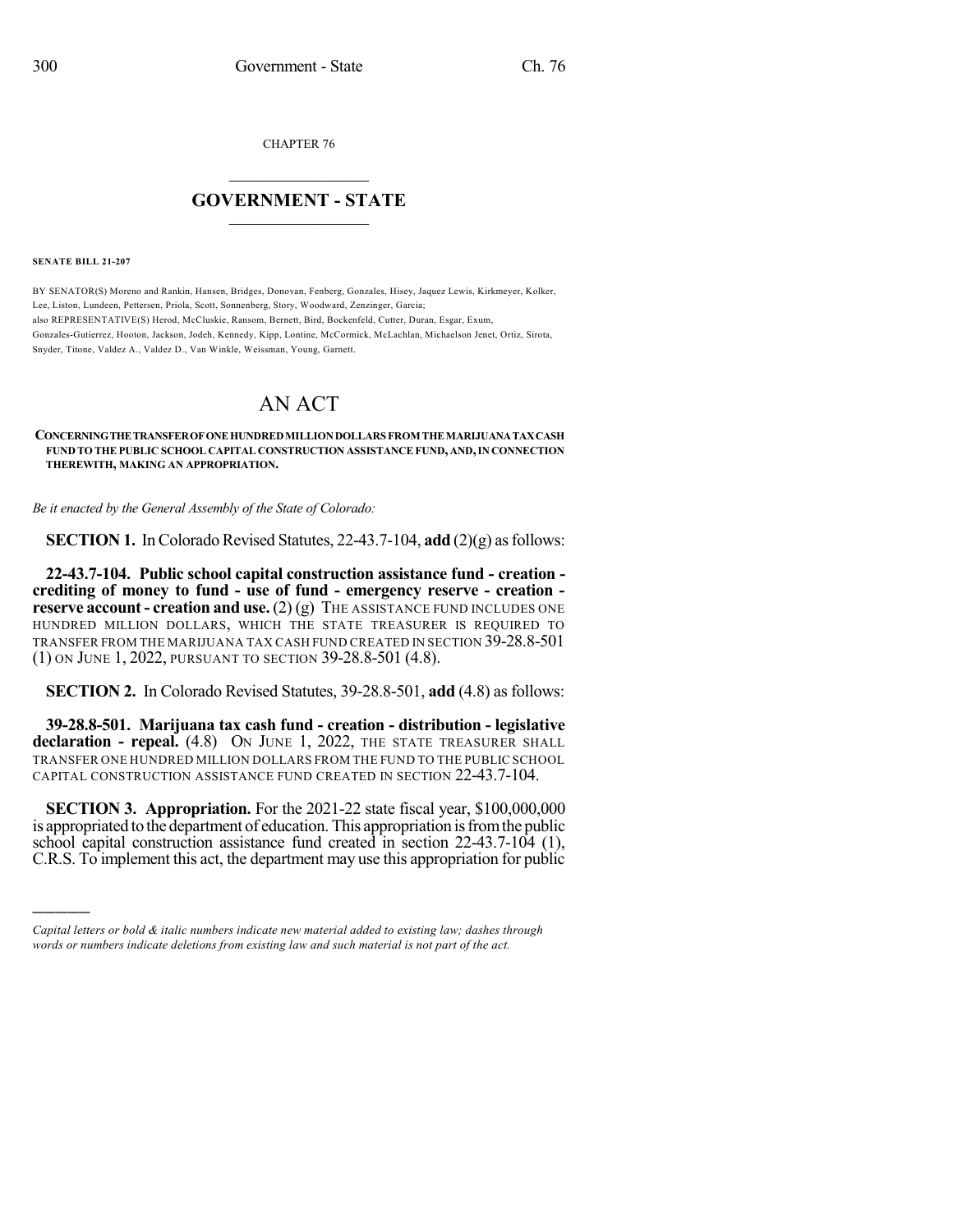CHAPTER 76

## $\overline{\phantom{a}}$  . The set of the set of the set of the set of the set of the set of the set of the set of the set of the set of the set of the set of the set of the set of the set of the set of the set of the set of the set o **GOVERNMENT - STATE**  $\_$

**SENATE BILL 21-207**

)))))

BY SENATOR(S) Moreno and Rankin, Hansen, Bridges, Donovan, Fenberg, Gonzales, Hisey, Jaquez Lewis, Kirkmeyer, Kolker, Lee, Liston, Lundeen, Pettersen, Priola, Scott, Sonnenberg, Story, Woodward, Zenzinger, Garcia; also REPRESENTATIVE(S) Herod, McCluskie, Ransom, Bernett, Bird, Bockenfeld, Cutter, Duran, Esgar, Exum, Gonzales-Gutierrez, Hooton, Jackson, Jodeh, Kennedy, Kipp, Lontine, McCormick, McLachlan, Michaelson Jenet, Ortiz, Sirota, Snyder, Titone, Valdez A., Valdez D., Van Winkle, Weissman, Young, Garnett.

## AN ACT

## **CONCERNINGTHETRANSFEROFONEHUNDREDMILLIONDOLLARS FROM THEMARIJUANATAXCASH FUND TO THE PUBLIC SCHOOL CAPITAL CONSTRUCTION ASSISTANCEFUND, AND,IN CONNECTION THEREWITH, MAKING AN APPROPRIATION.**

*Be it enacted by the General Assembly of the State of Colorado:*

**SECTION 1.** In Colorado Revised Statutes,  $22-43.7-104$ , **add**  $(2)(g)$  as follows:

**22-43.7-104. Public school capital construction assistance fund - creation crediting of money to fund - use of fund - emergency reserve - creation reserve account - creation and use.** (2) (g) THE ASSISTANCE FUND INCLUDES ONE HUNDRED MILLION DOLLARS, WHICH THE STATE TREASURER IS REQUIRED TO TRANSFER FROM THE MARIJUANA TAX CASH FUND CREATED IN SECTION 39-28.8-501 (1) ON JUNE 1, 2022, PURSUANT TO SECTION 39-28.8-501 (4.8).

**SECTION 2.** In Colorado Revised Statutes, 39-28.8-501, **add** (4.8) as follows:

**39-28.8-501. Marijuana tax cash fund - creation - distribution - legislative declaration - repeal.** (4.8) ON JUNE 1, 2022, THE STATE TREASURER SHALL TRANSFER ONE HUNDRED MILLION DOLLARS FROM THE FUND TO THE PUBLIC SCHOOL CAPITAL CONSTRUCTION ASSISTANCE FUND CREATED IN SECTION 22-43.7-104.

**SECTION 3. Appropriation.** For the 2021-22 state fiscal year, \$100,000,000 is appropriated to the department of education. This appropriation isfromthe public school capital construction assistance fund created in section 22-43.7-104 (1), C.R.S. To implement this act, the department may use this appropriation for public

*Capital letters or bold & italic numbers indicate new material added to existing law; dashes through words or numbers indicate deletions from existing law and such material is not part of the act.*